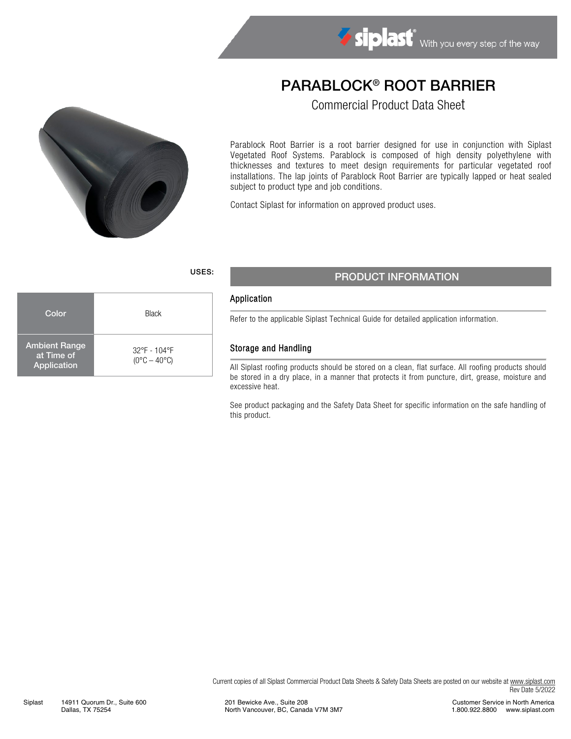# PARABLOCK® ROOT BARRIER

Commercial Product Data Sheet



Color **Black** 

32°F - 104°F  $(0^{\circ}C - 40^{\circ}C)$ 

Ambient Range at Time of Application

Parablock Root Barrier is a root barrier designed for use in conjunction with Siplast Vegetated Roof Systems. Parablock is composed of high density polyethylene with thicknesses and textures to meet design requirements for particular vegetated roof installations. The lap joints of Parablock Root Barrier are typically lapped or heat sealed subject to product type and job conditions.

Contact Siplast for information on approved product uses.

# USES: PRODUCT INFORMATION

#### Application

Refer to the applicable Siplast Technical Guide for detailed application information.

#### Storage and Handling

All Siplast roofing products should be stored on a clean, flat surface. All roofing products should be stored in a dry place, in a manner that protects it from puncture, dirt, grease, moisture and excessive heat.

See product packaging and the Safety Data Sheet for specific information on the safe handling of this product.